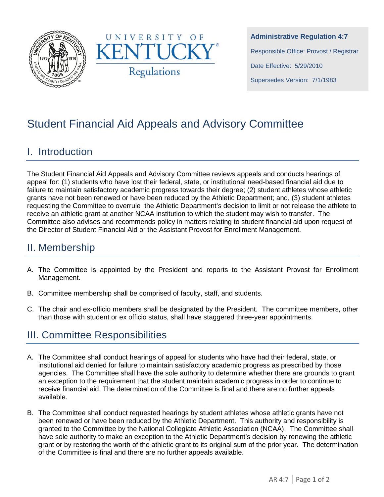



**Administrative Regulation 4:7** Responsible Office: Provost / Registrar Date Effective: 5/29/2010 Supersedes Version: 7/1/1983

# Student Financial Aid Appeals and Advisory Committee

### I. Introduction

The Student Financial Aid Appeals and Advisory Committee reviews appeals and conducts hearings of appeal for: (1) students who have lost their federal, state, or institutional need-based financial aid due to failure to maintain satisfactory academic progress towards their degree; (2) student athletes whose athletic grants have not been renewed or have been reduced by the Athletic Department; and, (3) student athletes requesting the Committee to overrule the Athletic Department's decision to limit or not release the athlete to receive an athletic grant at another NCAA institution to which the student may wish to transfer. The Committee also advises and recommends policy in matters relating to student financial aid upon request of the Director of Student Financial Aid or the Assistant Provost for Enrollment Management.

# II. Membership

- A. The Committee is appointed by the President and reports to the Assistant Provost for Enrollment Management.
- B. Committee membership shall be comprised of faculty, staff, and students.
- C. The chair and ex-officio members shall be designated by the President. The committee members, other than those with student or ex officio status, shall have staggered three-year appointments.

# III. Committee Responsibilities

- A. The Committee shall conduct hearings of appeal for students who have had their federal, state, or institutional aid denied for failure to maintain satisfactory academic progress as prescribed by those agencies. The Committee shall have the sole authority to determine whether there are grounds to grant an exception to the requirement that the student maintain academic progress in order to continue to receive financial aid. The determination of the Committee is final and there are no further appeals available.
- B. The Committee shall conduct requested hearings by student athletes whose athletic grants have not been renewed or have been reduced by the Athletic Department. This authority and responsibility is granted to the Committee by the National Collegiate Athletic Association (NCAA). The Committee shall have sole authority to make an exception to the Athletic Department's decision by renewing the athletic grant or by restoring the worth of the athletic grant to its original sum of the prior year. The determination of the Committee is final and there are no further appeals available.